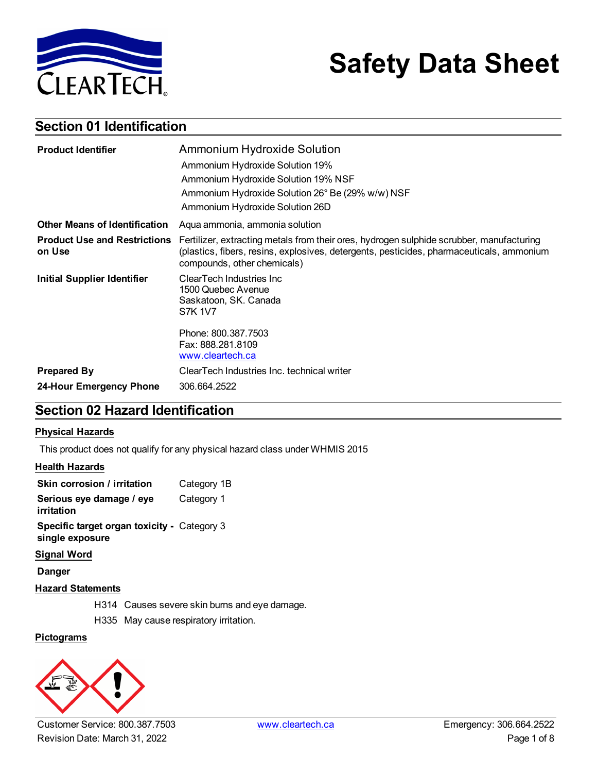

# **Safety Data Sheet**

### **Section 01 Identification**

| <b>Product Identifier</b>                     | <b>Ammonium Hydroxide Solution</b>                                                                                                                                                                                  |
|-----------------------------------------------|---------------------------------------------------------------------------------------------------------------------------------------------------------------------------------------------------------------------|
|                                               | Ammonium Hydroxide Solution 19%                                                                                                                                                                                     |
|                                               | Ammonium Hydroxide Solution 19% NSF                                                                                                                                                                                 |
|                                               | Ammonium Hydroxide Solution 26° Be (29% w/w) NSF                                                                                                                                                                    |
|                                               | Ammonium Hydroxide Solution 26D                                                                                                                                                                                     |
| <b>Other Means of Identification</b>          | Aqua ammonia, ammonia solution                                                                                                                                                                                      |
| <b>Product Use and Restrictions</b><br>on Use | Fertilizer, extracting metals from their ores, hydrogen sulphide scrubber, manufacturing<br>(plastics, fibers, resins, explosives, detergents, pesticides, pharmaceuticals, ammonium<br>compounds, other chemicals) |
| <b>Initial Supplier Identifier</b>            | ClearTech Industries Inc<br>1500 Quebec Avenue<br>Saskatoon, SK. Canada<br><b>S7K 1V7</b>                                                                                                                           |
|                                               | Phone: 800.387.7503<br>Fax: 888.281.8109<br>www.cleartech.ca                                                                                                                                                        |
| <b>Prepared By</b>                            | ClearTech Industries Inc. technical writer                                                                                                                                                                          |
| 24-Hour Emergency Phone                       | 306.664.2522                                                                                                                                                                                                        |

### **Section 02 Hazard Identification**

#### **Physical Hazards**

This product does not qualify for any physical hazard class under WHMIS 2015

#### **Health Hazards**

| Skin corrosion / irritation                                    | Category 1B |
|----------------------------------------------------------------|-------------|
| Serious eye damage / eye<br>irritation                         | Category 1  |
| Specific target organ toxicity - Category 3<br>single exposure |             |
| <b>Claimed Milenal</b>                                         |             |

#### **Signal Word**

**Danger**

#### **Hazard Statements**

H314 Causes severe skin burns and eye damage.

H335 May cause respiratory irritation.

### **Pictograms**

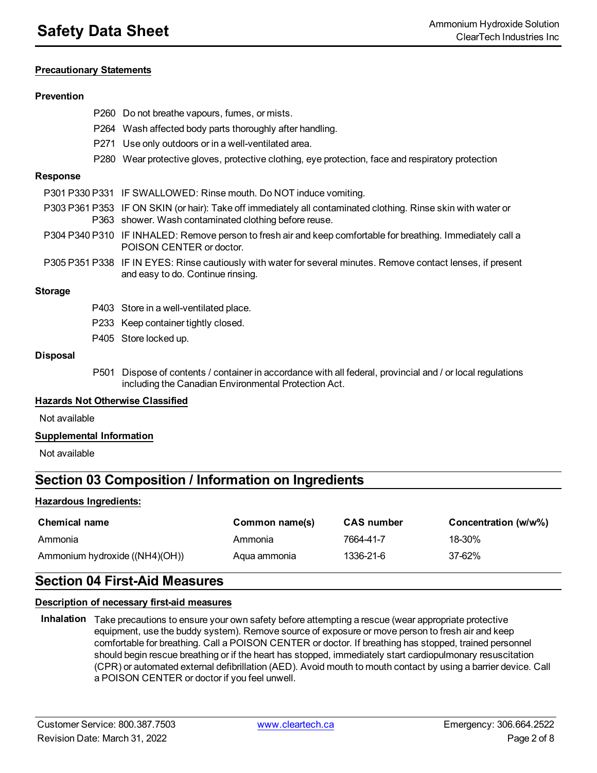#### **Precautionary Statements**

#### **Prevention**

|                                         | P260 Do not breathe vapours, fumes, or mists.                                                                                                                          |
|-----------------------------------------|------------------------------------------------------------------------------------------------------------------------------------------------------------------------|
|                                         | P264 Wash affected body parts thoroughly after handling.                                                                                                               |
|                                         | P271 Use only outdoors or in a well-ventilated area.                                                                                                                   |
|                                         | P280 Wear protective gloves, protective clothing, eye protection, face and respiratory protection                                                                      |
| <b>Response</b>                         |                                                                                                                                                                        |
|                                         | P301 P330 P331 IF SWALLOWED: Rinse mouth. Do NOT induce vomiting.                                                                                                      |
|                                         | P303 P361 P353 IF ON SKIN (or hair): Take off immediately all contaminated clothing. Rinse skin with water or<br>P363 shower. Wash contaminated clothing before reuse. |
|                                         | P304 P340 P310 IF INHALED: Remove person to fresh air and keep comfortable for breathing. Immediately call a<br>POISON CENTER or doctor.                               |
|                                         | P305 P351 P338 IF IN EYES: Rinse cautiously with water for several minutes. Remove contact lenses, if present<br>and easy to do. Continue rinsing.                     |
| <b>Storage</b>                          |                                                                                                                                                                        |
|                                         | P403 Store in a well-ventilated place.                                                                                                                                 |
|                                         | P233 Keep container tightly closed.                                                                                                                                    |
|                                         | P405 Store locked up.                                                                                                                                                  |
| <b>Disposal</b>                         |                                                                                                                                                                        |
| P <sub>501</sub>                        | Dispose of contents / container in accordance with all federal, provincial and / or local regulations<br>including the Canadian Environmental Protection Act.          |
| <b>Hazards Not Otherwise Classified</b> |                                                                                                                                                                        |
| Not available                           |                                                                                                                                                                        |

**Supplemental Information**

Not available

### **Section 03 Composition / Information on Ingredients**

#### **Hazardous Ingredients:**

| <b>Chemical name</b>           | Common name(s) | <b>CAS</b> number | Concentration (w/w%) |
|--------------------------------|----------------|-------------------|----------------------|
| Ammonia                        | Ammonia        | 7664-41-7         | 18-30%               |
| Ammonium hydroxide ((NH4)(OH)) | Agua ammonia   | 1336-21-6         | 37-62%               |

### **Section 04 First-Aid Measures**

#### **Description of necessary first-aid measures**

**Inhalation** Take precautions to ensure your own safety before attempting a rescue (wear appropriate protective equipment, use the buddy system). Remove source of exposure or move person to fresh air and keep comfortable for breathing. Call a POISON CENTER or doctor. If breathing has stopped, trained personnel should begin rescue breathing or if the heart has stopped, immediately start cardiopulmonary resuscitation (CPR) or automated external defibrillation (AED). Avoid mouth to mouth contact by using a barrier device. Call a POISON CENTER or doctor if you feel unwell.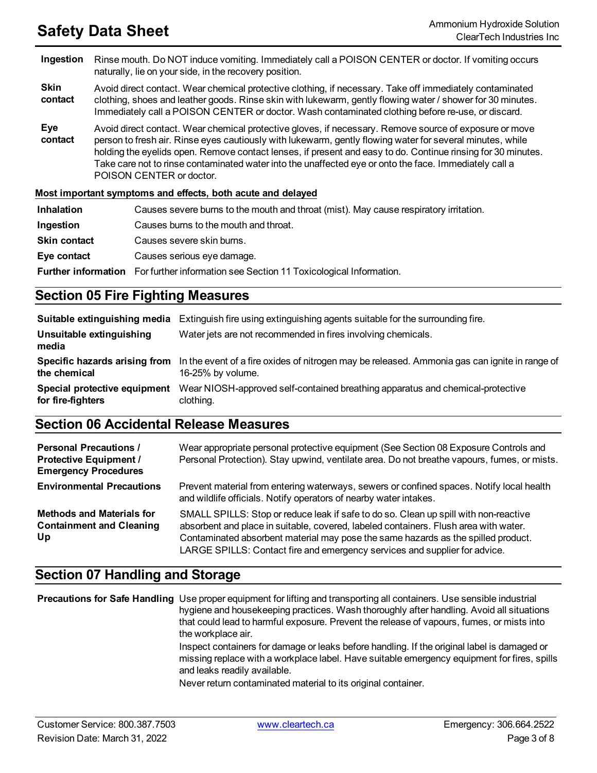**Ingestion** Rinse mouth. Do NOT induce vomiting. Immediately call a POISON CENTER or doctor. If vomiting occurs naturally, lie on your side, in the recovery position.

**Skin contact** Avoid direct contact. Wear chemical protective clothing, if necessary. Take off immediately contaminated clothing, shoes and leather goods. Rinse skin with lukewarm, gently flowing water / shower for 30 minutes. Immediately call a POISON CENTER or doctor. Wash contaminated clothing before re-use, or discard.

**Eye contact** Avoid direct contact. Wear chemical protective gloves, if necessary. Remove source of exposure or move person to fresh air. Rinse eyes cautiously with lukewarm, gently flowing water for several minutes, while holding the eyelids open. Remove contact lenses, if present and easy to do. Continue rinsing for 30 minutes. Take care not to rinse contaminated water into the unaffected eye or onto the face. Immediately call a POISON CENTER or doctor.

#### **Most important symptoms and effects, both acute and delayed**

| <b>Inhalation</b>   | Causes severe burns to the mouth and throat (mist). May cause respiratory irritation.        |
|---------------------|----------------------------------------------------------------------------------------------|
| Ingestion           | Causes burns to the mouth and throat.                                                        |
| <b>Skin contact</b> | Causes severe skin burns.                                                                    |
| Eye contact         | Causes serious eye damage.                                                                   |
|                     | <b>Further information</b> For further information see Section 11 Toxicological Information. |

### **Section 05 Fire Fighting Measures**

|                                                   | <b>Suitable extinguishing media</b> Extinguish fire using extinguishing agents suitable for the surrounding fire.                                |
|---------------------------------------------------|--------------------------------------------------------------------------------------------------------------------------------------------------|
| Unsuitable extinguishing<br>media                 | Water jets are not recommended in fires involving chemicals.                                                                                     |
| the chemical                                      | Specific hazards arising from In the event of a fire oxides of nitrogen may be released. Ammonia gas can ignite in range of<br>16-25% by volume. |
| Special protective equipment<br>for fire-fighters | Wear NIOSH-approved self-contained breathing apparatus and chemical-protective<br>clothing.                                                      |

### **Section 06 Accidental Release Measures**

| <b>Personal Precautions /</b><br><b>Protective Equipment /</b><br><b>Emergency Procedures</b> | Wear appropriate personal protective equipment (See Section 08 Exposure Controls and<br>Personal Protection). Stay upwind, ventilate area. Do not breathe vapours, fumes, or mists.                                                                                                                                                             |
|-----------------------------------------------------------------------------------------------|-------------------------------------------------------------------------------------------------------------------------------------------------------------------------------------------------------------------------------------------------------------------------------------------------------------------------------------------------|
| <b>Environmental Precautions</b>                                                              | Prevent material from entering waterways, sewers or confined spaces. Notify local health<br>and wildlife officials. Notify operators of nearby water intakes.                                                                                                                                                                                   |
| <b>Methods and Materials for</b><br><b>Containment and Cleaning</b><br>Up                     | SMALL SPILLS: Stop or reduce leak if safe to do so. Clean up spill with non-reactive<br>absorbent and place in suitable, covered, labeled containers. Flush area with water.<br>Contaminated absorbent material may pose the same hazards as the spilled product.<br>LARGE SPILLS: Contact fire and emergency services and supplier for advice. |

### **Section 07 Handling and Storage**

**Precautions for Safe Handling** Use proper equipment for lifting and transporting all containers. Use sensible industrial hygiene and housekeeping practices. Wash thoroughly after handling. Avoid all situations that could lead to harmful exposure. Prevent the release of vapours, fumes, or mists into the workplace air. Inspect containers for damage or leaks before handling. If the original label is damaged or missing replace with a workplace label. Have suitable emergency equipment for fires, spills and leaks readily available. Never return contaminated material to its original container.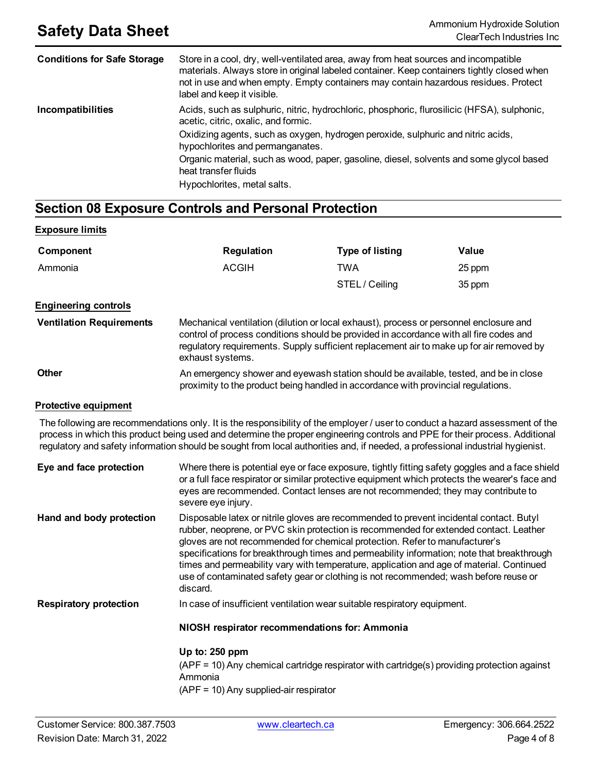| <b>Conditions for Safe Storage</b> | Store in a cool, dry, well-ventilated area, away from heat sources and incompatible<br>materials. Always store in original labeled container. Keep containers tightly closed when<br>not in use and when empty. Empty containers may contain hazardous residues. Protect<br>label and keep it visible. |
|------------------------------------|--------------------------------------------------------------------------------------------------------------------------------------------------------------------------------------------------------------------------------------------------------------------------------------------------------|
| Incompatibilities                  | Acids, such as sulphuric, nitric, hydrochloric, phosphoric, flurosilicic (HFSA), sulphonic,<br>acetic, citric, oxalic, and formic.                                                                                                                                                                     |
|                                    | Oxidizing agents, such as oxygen, hydrogen peroxide, sulphuric and nitric acids,<br>hypochlorites and permanganates.                                                                                                                                                                                   |
|                                    | Organic material, such as wood, paper, gasoline, diesel, solvents and some glycol based<br>heat transfer fluids                                                                                                                                                                                        |
|                                    | Hypochlorites, metal salts.                                                                                                                                                                                                                                                                            |

### **Section 08 Exposure Controls and Personal Protection**

#### **Exposure limits**

| Component                       | <b>Regulation</b>                                                                                                                                                                                                                                                                                | <b>Type of listing</b> | Value  |
|---------------------------------|--------------------------------------------------------------------------------------------------------------------------------------------------------------------------------------------------------------------------------------------------------------------------------------------------|------------------------|--------|
| Ammonia                         | <b>ACGIH</b>                                                                                                                                                                                                                                                                                     | <b>TWA</b>             | 25 ppm |
|                                 |                                                                                                                                                                                                                                                                                                  | STEL / Ceiling         | 35 ppm |
| <b>Engineering controls</b>     |                                                                                                                                                                                                                                                                                                  |                        |        |
| <b>Ventilation Requirements</b> | Mechanical ventilation (dilution or local exhaust), process or personnel enclosure and<br>control of process conditions should be provided in accordance with all fire codes and<br>regulatory requirements. Supply sufficient replacement air to make up for air removed by<br>exhaust systems. |                        |        |
| Other                           | An emergency shower and eyewash station should be available, tested, and be in close<br>proximity to the product being handled in accordance with provincial regulations.                                                                                                                        |                        |        |

#### **Protective equipment**

The following are recommendations only. It is the responsibility of the employer / user to conduct a hazard assessment of the process in which this product being used and determine the proper engineering controls and PPE for their process. Additional regulatory and safety information should be sought from local authorities and, if needed, a professional industrial hygienist.

| Eye and face protection       | Where there is potential eye or face exposure, tightly fitting safety goggles and a face shield<br>or a full face respirator or similar protective equipment which protects the wearer's face and<br>eyes are recommended. Contact lenses are not recommended; they may contribute to<br>severe eye injury.                                                                                                                                                                                                                                                   |
|-------------------------------|---------------------------------------------------------------------------------------------------------------------------------------------------------------------------------------------------------------------------------------------------------------------------------------------------------------------------------------------------------------------------------------------------------------------------------------------------------------------------------------------------------------------------------------------------------------|
| Hand and body protection      | Disposable latex or nitrile gloves are recommended to prevent incidental contact. Butyl<br>rubber, neoprene, or PVC skin protection is recommended for extended contact. Leather<br>gloves are not recommended for chemical protection. Refer to manufacturer's<br>specifications for breakthrough times and permeability information; note that breakthrough<br>times and permeability vary with temperature, application and age of material. Continued<br>use of contaminated safety gear or clothing is not recommended; wash before reuse or<br>discard. |
| <b>Respiratory protection</b> | In case of insufficient ventilation wear suitable respiratory equipment.                                                                                                                                                                                                                                                                                                                                                                                                                                                                                      |
|                               | NIOSH respirator recommendations for: Ammonia                                                                                                                                                                                                                                                                                                                                                                                                                                                                                                                 |
|                               | Up to: $250$ ppm<br>(APF = 10) Any chemical cartridge respirator with cartridge(s) providing protection against                                                                                                                                                                                                                                                                                                                                                                                                                                               |
|                               | Ammonia<br>$(APF = 10)$ Any supplied-air respirator                                                                                                                                                                                                                                                                                                                                                                                                                                                                                                           |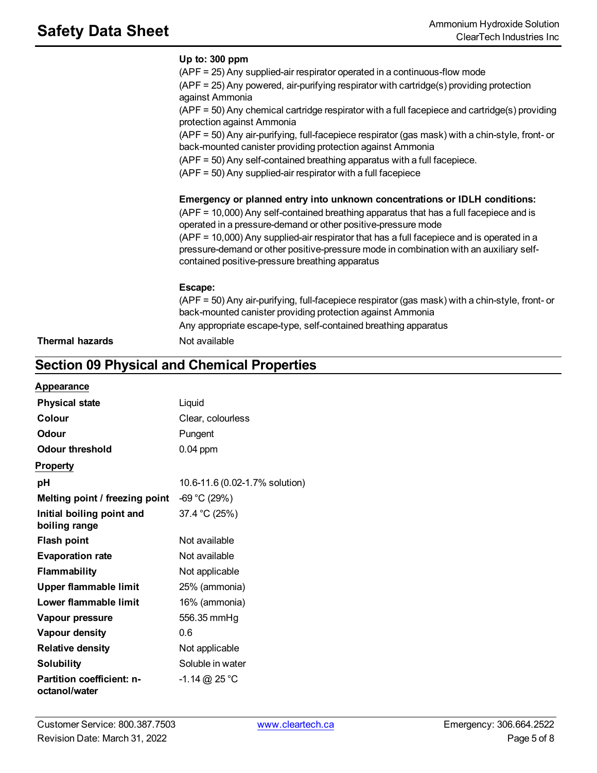| (APF = 10,000) Any self-contained breathing apparatus that has a full facepiece and is<br>operated in a pressure-demand or other positive-pressure mode                                                                                |
|----------------------------------------------------------------------------------------------------------------------------------------------------------------------------------------------------------------------------------------|
| (APF = 10,000) Any supplied-air respirator that has a full facepiece and is operated in a<br>pressure-demand or other positive-pressure mode in combination with an auxiliary self-<br>contained positive-pressure breathing apparatus |
| Escape:<br>(APF = 50) Any air-purifying, full-facepiece respirator (gas mask) with a chin-style, front- or<br>back-mounted canister providing protection against Ammonia                                                               |

## **Section 09 Physical and Chemical Properties**

| Appearance |
|------------|
|------------|

| <b>Physical state</b>                             | Liquid                         |
|---------------------------------------------------|--------------------------------|
| Colour                                            | Clear, colourless              |
| <b>Odour</b>                                      | Pungent                        |
| Odour threshold                                   | 0.04 ppm                       |
| <b>Property</b>                                   |                                |
| рH                                                | 10.6-11.6 (0.02-1.7% solution) |
| Melting point / freezing point                    | $-69 °C (29%)$                 |
| Initial boiling point and<br>boiling range        | 37.4 °C (25%)                  |
| <b>Flash point</b>                                | Not available                  |
| <b>Evaporation rate</b>                           | Not available                  |
| <b>Flammability</b>                               | Not applicable                 |
| <b>Upper flammable limit</b>                      | 25% (ammonia)                  |
| Lower flammable limit                             | 16% (ammonia)                  |
| Vapour pressure                                   | 556.35 mmHg                    |
| <b>Vapour density</b>                             | 0.6                            |
| <b>Relative density</b>                           | Not applicable                 |
| <b>Solubility</b>                                 | Soluble in water               |
| <b>Partition coefficient: n-</b><br>octanol/water | $-1.14$ @ 25 °C                |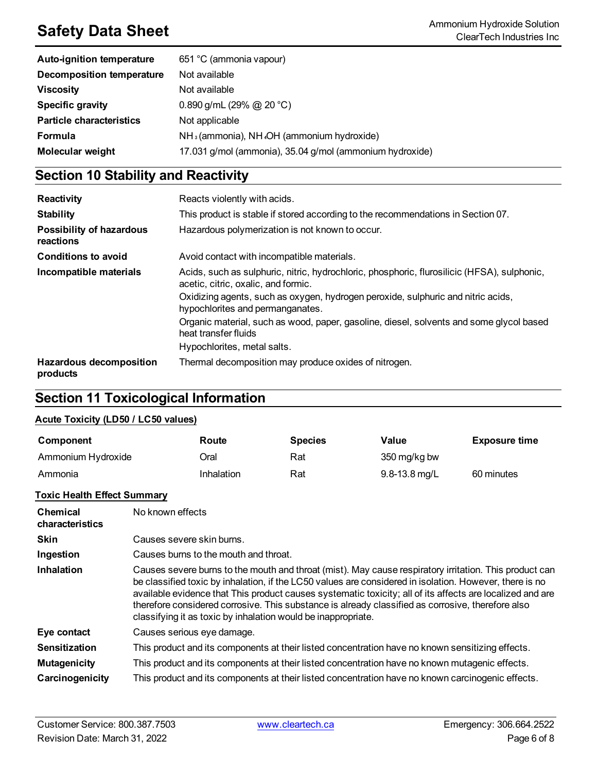| <b>Auto-ignition temperature</b> | 651 °C (ammonia vapour)                                            |
|----------------------------------|--------------------------------------------------------------------|
| <b>Decomposition temperature</b> | Not available                                                      |
| <b>Viscosity</b>                 | Not available                                                      |
| <b>Specific gravity</b>          | 0.890 g/mL (29% @ 20 °C)                                           |
| <b>Particle characteristics</b>  | Not applicable                                                     |
| <b>Formula</b>                   | NH <sub>3</sub> (ammonia), NH <sub>4</sub> OH (ammonium hydroxide) |
| <b>Molecular weight</b>          | 17.031 g/mol (ammonia), 35.04 g/mol (ammonium hydroxide)           |

## **Section 10 Stability and Reactivity**

| Reactivity                                 | Reacts violently with acids.                                                                                                                                                                                                                               |
|--------------------------------------------|------------------------------------------------------------------------------------------------------------------------------------------------------------------------------------------------------------------------------------------------------------|
| <b>Stability</b>                           | This product is stable if stored according to the recommendations in Section 07.                                                                                                                                                                           |
| Possibility of hazardous<br>reactions      | Hazardous polymerization is not known to occur.                                                                                                                                                                                                            |
| <b>Conditions to avoid</b>                 | Avoid contact with incompatible materials.                                                                                                                                                                                                                 |
| Incompatible materials                     | Acids, such as sulphuric, nitric, hydrochloric, phosphoric, flurosilicic (HFSA), sulphonic,<br>acetic, citric, oxalic, and formic.<br>Oxidizing agents, such as oxygen, hydrogen peroxide, sulphuric and nitric acids,<br>hypochlorites and permanganates. |
|                                            | Organic material, such as wood, paper, gasoline, diesel, solvents and some glycol based<br>heat transfer fluids<br>Hypochlorites, metal salts.                                                                                                             |
| <b>Hazardous decomposition</b><br>products | Thermal decomposition may produce oxides of nitrogen.                                                                                                                                                                                                      |

### **Section 11 Toxicological Information**

### **Acute Toxicity (LD50 / LC50 values)**

| Component          | Route      | <b>Species</b> | Value             | <b>Exposure time</b> |
|--------------------|------------|----------------|-------------------|----------------------|
| Ammonium Hydroxide | Oral       | Rat            | 350 mg/kg bw      |                      |
| Ammonia            | Inhalation | Rat            | $9.8 - 13.8$ mg/L | 60 minutes           |

#### **Toxic Health Effect Summary**

| Chemical<br>characteristics | No known effects                                                                                                                                                                                                                                                                                                                                                                                                                                                                                     |
|-----------------------------|------------------------------------------------------------------------------------------------------------------------------------------------------------------------------------------------------------------------------------------------------------------------------------------------------------------------------------------------------------------------------------------------------------------------------------------------------------------------------------------------------|
| <b>Skin</b>                 | Causes severe skin burns.                                                                                                                                                                                                                                                                                                                                                                                                                                                                            |
| Ingestion                   | Causes burns to the mouth and throat.                                                                                                                                                                                                                                                                                                                                                                                                                                                                |
| <b>Inhalation</b>           | Causes severe burns to the mouth and throat (mist). May cause respiratory irritation. This product can<br>be classified toxic by inhalation, if the LC50 values are considered in isolation. However, there is no<br>available evidence that This product causes systematic toxicity; all of its affects are localized and are<br>therefore considered corrosive. This substance is already classified as corrosive, therefore also<br>classifying it as toxic by inhalation would be inappropriate. |
| Eye contact                 | Causes serious eye damage.                                                                                                                                                                                                                                                                                                                                                                                                                                                                           |
| <b>Sensitization</b>        | This product and its components at their listed concentration have no known sensitizing effects.                                                                                                                                                                                                                                                                                                                                                                                                     |
| <b>Mutagenicity</b>         | This product and its components at their listed concentration have no known mutagenic effects.                                                                                                                                                                                                                                                                                                                                                                                                       |
| Carcinogenicity             | This product and its components at their listed concentration have no known carcinogenic effects.                                                                                                                                                                                                                                                                                                                                                                                                    |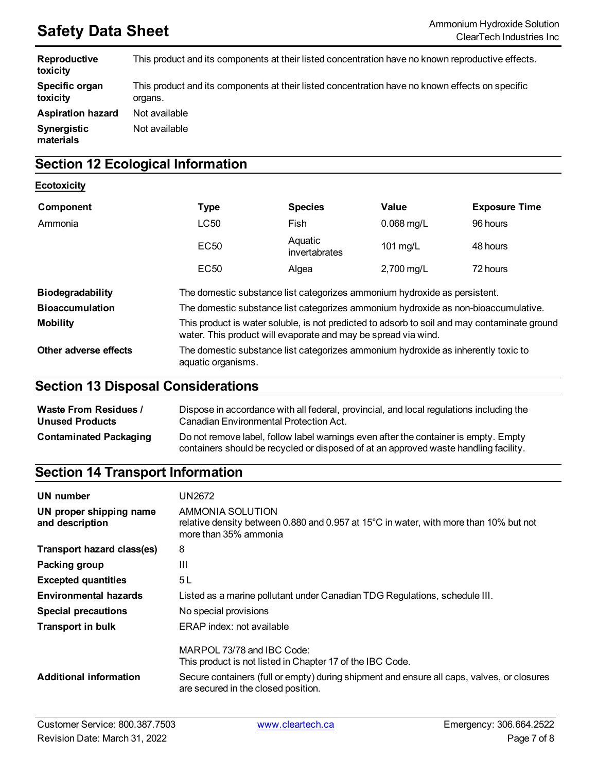| Reproductive<br>toxicity   | This product and its components at their listed concentration have no known reproductive effects.          |
|----------------------------|------------------------------------------------------------------------------------------------------------|
| Specific organ<br>toxicity | This product and its components at their listed concentration have no known effects on specific<br>organs. |
| <b>Aspiration hazard</b>   | Not available                                                                                              |
| Synergistic<br>materials   | Not available                                                                                              |

## **Section 12 Ecological Information**

### **Ecotoxicity**

| Component              | <b>Type</b>                                                                                                                                                    | <b>Species</b>           | Value                   | <b>Exposure Time</b> |
|------------------------|----------------------------------------------------------------------------------------------------------------------------------------------------------------|--------------------------|-------------------------|----------------------|
| Ammonia                | LC50                                                                                                                                                           | Fish                     | $0.068$ mg/L            | 96 hours             |
|                        | <b>EC50</b>                                                                                                                                                    | Aquatic<br>invertabrates | 101 $mg/L$              | 48 hours             |
|                        | <b>EC50</b>                                                                                                                                                    | Algea                    | $2,700 \,\mathrm{mg/L}$ | 72 hours             |
| Biodegradability       | The domestic substance list categorizes ammonium hydroxide as persistent.                                                                                      |                          |                         |                      |
| <b>Bioaccumulation</b> | The domestic substance list categorizes ammonium hydroxide as non-bioaccumulative.                                                                             |                          |                         |                      |
| <b>Mobility</b>        | This product is water soluble, is not predicted to adsorb to soil and may contaminate ground<br>water. This product will evaporate and may be spread via wind. |                          |                         |                      |
| Other adverse effects  | The domestic substance list categorizes ammonium hydroxide as inherently toxic to<br>aquatic organisms.                                                        |                          |                         |                      |

### **Section 13 Disposal Considerations**

| <b>Waste From Residues /</b>  | Dispose in accordance with all federal, provincial, and local regulations including the                                                                                     |
|-------------------------------|-----------------------------------------------------------------------------------------------------------------------------------------------------------------------------|
| <b>Unused Products</b>        | Canadian Environmental Protection Act.                                                                                                                                      |
| <b>Contaminated Packaging</b> | Do not remove label, follow label warnings even after the container is empty. Empty<br>containers should be recycled or disposed of at an approved waste handling facility. |

## **Section 14 Transport Information**

| UN number                                  | UN2672                                                                                                                                       |
|--------------------------------------------|----------------------------------------------------------------------------------------------------------------------------------------------|
| UN proper shipping name<br>and description | AMMONIA SOLUTION<br>relative density between 0.880 and 0.957 at 15 $\degree$ C in water, with more than 10% but not<br>more than 35% ammonia |
| Transport hazard class(es)                 | 8                                                                                                                                            |
| Packing group                              | Ш                                                                                                                                            |
| <b>Excepted quantities</b>                 | 5 L                                                                                                                                          |
| <b>Environmental hazards</b>               | Listed as a marine pollutant under Canadian TDG Regulations, schedule III.                                                                   |
| <b>Special precautions</b>                 | No special provisions                                                                                                                        |
| <b>Transport in bulk</b>                   | ERAP index: not available                                                                                                                    |
|                                            | MARPOL 73/78 and IBC Code:<br>This product is not listed in Chapter 17 of the IBC Code.                                                      |
| <b>Additional information</b>              | Secure containers (full or empty) during shipment and ensure all caps, valves, or closures<br>are secured in the closed position.            |